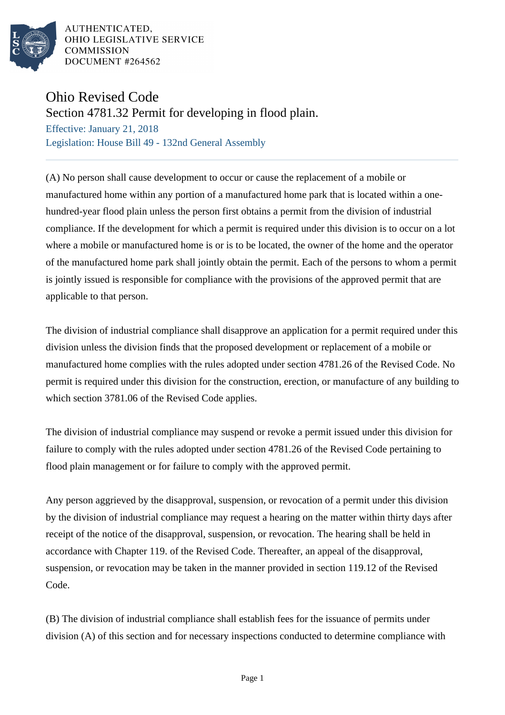

AUTHENTICATED, OHIO LEGISLATIVE SERVICE **COMMISSION** DOCUMENT #264562

## Ohio Revised Code

Section 4781.32 Permit for developing in flood plain.

Effective: January 21, 2018 Legislation: House Bill 49 - 132nd General Assembly

(A) No person shall cause development to occur or cause the replacement of a mobile or manufactured home within any portion of a manufactured home park that is located within a onehundred-year flood plain unless the person first obtains a permit from the division of industrial compliance. If the development for which a permit is required under this division is to occur on a lot where a mobile or manufactured home is or is to be located, the owner of the home and the operator of the manufactured home park shall jointly obtain the permit. Each of the persons to whom a permit is jointly issued is responsible for compliance with the provisions of the approved permit that are applicable to that person.

The division of industrial compliance shall disapprove an application for a permit required under this division unless the division finds that the proposed development or replacement of a mobile or manufactured home complies with the rules adopted under section 4781.26 of the Revised Code. No permit is required under this division for the construction, erection, or manufacture of any building to which section 3781.06 of the Revised Code applies.

The division of industrial compliance may suspend or revoke a permit issued under this division for failure to comply with the rules adopted under section 4781.26 of the Revised Code pertaining to flood plain management or for failure to comply with the approved permit.

Any person aggrieved by the disapproval, suspension, or revocation of a permit under this division by the division of industrial compliance may request a hearing on the matter within thirty days after receipt of the notice of the disapproval, suspension, or revocation. The hearing shall be held in accordance with Chapter 119. of the Revised Code. Thereafter, an appeal of the disapproval, suspension, or revocation may be taken in the manner provided in section 119.12 of the Revised Code.

(B) The division of industrial compliance shall establish fees for the issuance of permits under division (A) of this section and for necessary inspections conducted to determine compliance with